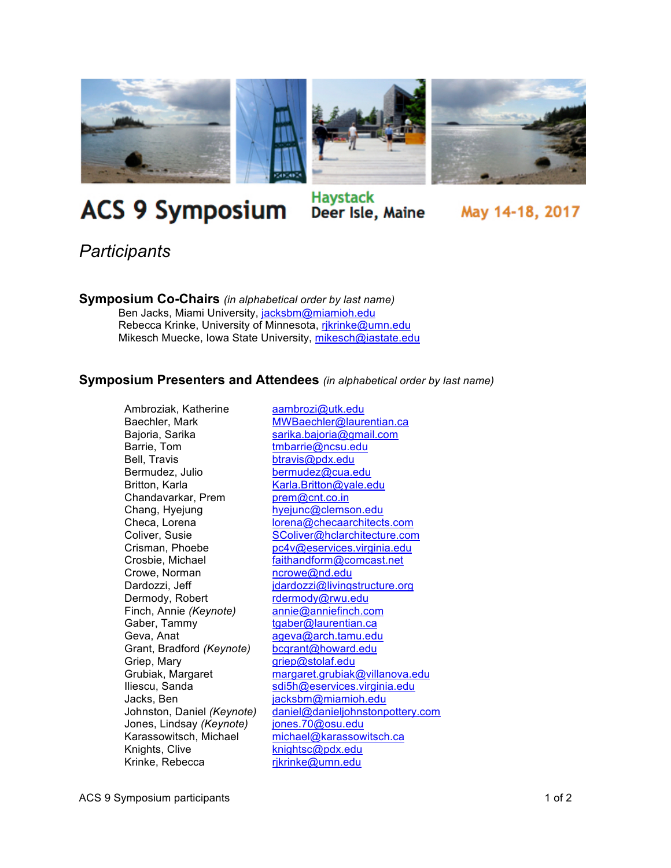

## **ACS 9 Symposium**

## **Haystack** Deer Isle, Maine

May 14-18, 2017

*Participants*

**Symposium Co-Chairs** *(in alphabetical order by last name)* Ben Jacks, Miami University, jacksbm@miamioh.edu Rebecca Krinke, University of Minnesota, rikrinke@umn.edu Mikesch Muecke, Iowa State University, mikesch@iastate.edu

## **Symposium Presenters and Attendees** *(in alphabetical order by last name)*

Ambroziak, Katherine aambrozi@utk.edu Bajoria, Sarika sarika.bajoria@gmail.com Barrie, Tom tmbarrie@ncsu.edu Bell, Travis btravis@pdx.edu Bermudez, Julio bermudez@cua.edu Britton, Karla Karla.Britton@yale.edu Chandavarkar, Prem prem@cnt.co.in Chang, Hyejung hyejunc@clemson.edu Crowe, Norman ncrowe@nd.edu Dermody, Robert rdermody@rwu.edu Finch, Annie *(Keynote)* annie@anniefinch.com Gaber, Tammy tgaber@laurentian.ca Geva, Anat ageva@arch.tamu.edu Grant, Bradford *(Keynote)* bcgrant@howard.edu Griep, Mary griep@stolaf.edu Jacks, Ben jacksbm@miamioh.edu Jones, Lindsay *(Keynote)* jones.70@osu.edu<br>Karassowitsch, Michael michael@karassow Knights, Clive knightsc@pdx.edu Krinke, Rebecca rjkrinke@umn.edu

Baechler, Mark MWBaechler@laurentian.ca Checa, Lorena **channels** lorena@checaarchitects.com Coliver, Susie SColiver@hclarchitecture.com Crisman, Phoebe postanting provides provides in the Crosbie, Michael Crosbie, Michael and Taithandform @comcast.net faithandform@comcast.net Dardozzi, Jeff jdardozzi@livingstructure.org Grubiak, Margaret margaret.grubiak@villanova.edu Iliescu, Sanda sdi5h@eservices.virginia.edu Johnston, Daniel *(Keynote)* daniel@danieljohnstonpottery.com michael@karassowitsch.ca